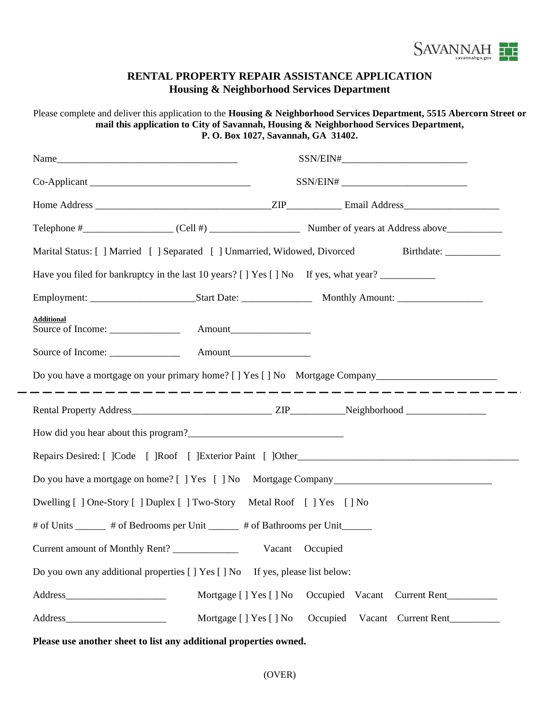

## **RENTAL PROPERTY REPAIR ASSISTANCE APPLICATION Housing & Neighborhood Services Department**

|                                                                                                      | Please complete and deliver this application to the Housing & Neighborhood Services Department, 5515 Abercorn Street or<br>mail this application to City of Savannah, Housing & Neighborhood Services Department,<br>P. O. Box 1027, Savannah, GA 31402. |  |  |  |  |  |  |
|------------------------------------------------------------------------------------------------------|----------------------------------------------------------------------------------------------------------------------------------------------------------------------------------------------------------------------------------------------------------|--|--|--|--|--|--|
|                                                                                                      |                                                                                                                                                                                                                                                          |  |  |  |  |  |  |
|                                                                                                      |                                                                                                                                                                                                                                                          |  |  |  |  |  |  |
|                                                                                                      |                                                                                                                                                                                                                                                          |  |  |  |  |  |  |
|                                                                                                      |                                                                                                                                                                                                                                                          |  |  |  |  |  |  |
| Marital Status: [ ] Married [ ] Separated [ ] Unmarried, Widowed, Divorced Birthdate: __________     |                                                                                                                                                                                                                                                          |  |  |  |  |  |  |
| Have you filed for bankruptcy in the last 10 years? [ ] Yes [ ] No If yes, what year? _____________  |                                                                                                                                                                                                                                                          |  |  |  |  |  |  |
|                                                                                                      |                                                                                                                                                                                                                                                          |  |  |  |  |  |  |
| <b>Additional</b>                                                                                    |                                                                                                                                                                                                                                                          |  |  |  |  |  |  |
|                                                                                                      |                                                                                                                                                                                                                                                          |  |  |  |  |  |  |
| Do you have a mortgage on your primary home? [ ] Yes [ ] No Mortgage Company________________________ |                                                                                                                                                                                                                                                          |  |  |  |  |  |  |
|                                                                                                      |                                                                                                                                                                                                                                                          |  |  |  |  |  |  |
|                                                                                                      |                                                                                                                                                                                                                                                          |  |  |  |  |  |  |
|                                                                                                      |                                                                                                                                                                                                                                                          |  |  |  |  |  |  |
| Do you have a mortgage on home? [ ] Yes [ ] No Mortgage Company                                      |                                                                                                                                                                                                                                                          |  |  |  |  |  |  |
| Dwelling [ ] One-Story [ ] Duplex [ ] Two-Story Metal Roof [ ] Yes [ ] No                            |                                                                                                                                                                                                                                                          |  |  |  |  |  |  |
| # of Units ______ # of Bedrooms per Unit ______ # of Bathrooms per Unit ______                       |                                                                                                                                                                                                                                                          |  |  |  |  |  |  |
| Current amount of Monthly Rent? ______________                                                       | Vacant<br>Occupied                                                                                                                                                                                                                                       |  |  |  |  |  |  |
| Do you own any additional properties [ ] Yes [ ] No If yes, please list below:                       |                                                                                                                                                                                                                                                          |  |  |  |  |  |  |
|                                                                                                      | Mortgage [ ] Yes [ ] No<br>Occupied Vacant<br>Current Rent                                                                                                                                                                                               |  |  |  |  |  |  |
|                                                                                                      | Mortgage [ ] Yes [ ] No<br>Occupied<br>Vacant Current Rent                                                                                                                                                                                               |  |  |  |  |  |  |

**Please use another sheet to list any additional properties owned.**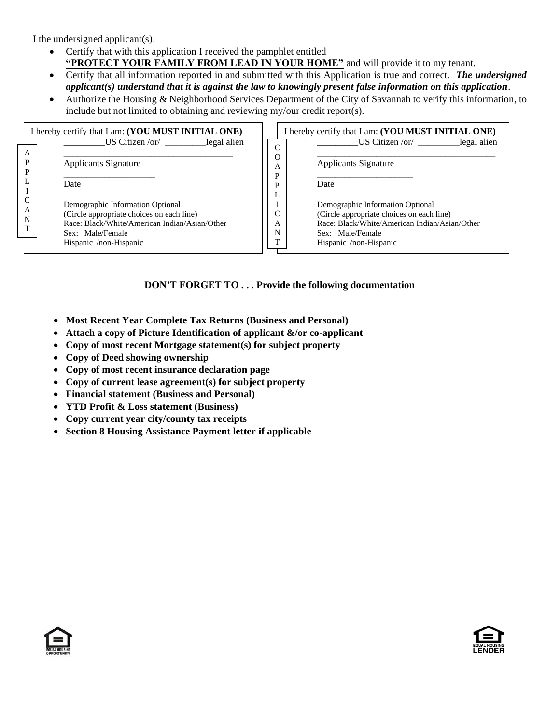I the undersigned applicant(s):

- Certify that with this application I received the pamphlet entitled **"PROTECT YOUR FAMILY FROM LEAD IN YOUR HOME"** and will provide it to my tenant.
- Certify that all information reported in and submitted with this Application is true and correct. *The undersigned applicant(s) understand that it is against the law to knowingly present false information on this application.*
- Authorize the Housing & Neighborhood Services Department of the City of Savannah to verify this information, to include but not limited to obtaining and reviewing my/our credit report(s).

| I hereby certify that I am: (YOU MUST INITIAL ONE)<br>$US$ Citizen /or/ legal alien |                                               |             |      | I hereby certify that I am: (YOU MUST INITIAL ONE)<br>$US$ Citizen /or/ legal alien |
|-------------------------------------------------------------------------------------|-----------------------------------------------|-------------|------|-------------------------------------------------------------------------------------|
| $\overline{A}$<br>P<br>P                                                            | <b>Applicants Signature</b>                   | O<br>А<br>D |      | <b>Applicants Signature</b>                                                         |
|                                                                                     | Date                                          | D           | Date |                                                                                     |
| C                                                                                   | Demographic Information Optional              |             |      | Demographic Information Optional                                                    |
| А                                                                                   | (Circle appropriate choices on each line)     | $\sqrt{ }$  |      | (Circle appropriate choices on each line)                                           |
| N<br>т                                                                              | Race: Black/White/American Indian/Asian/Other | А           |      | Race: Black/White/American Indian/Asian/Other                                       |
|                                                                                     | Sex: Male/Female                              | N           |      | Sex: Male/Female                                                                    |
|                                                                                     | Hispanic /non-Hispanic                        |             |      | Hispanic /non-Hispanic                                                              |
|                                                                                     |                                               |             |      |                                                                                     |

## **DON'T FORGET TO . . . Provide the following documentation**

- **Most Recent Year Complete Tax Returns (Business and Personal)**
- **Attach a copy of Picture Identification of applicant &/or co-applicant**
- **Copy of most recent Mortgage statement(s) for subject property**
- **Copy of Deed showing ownership**
- **Copy of most recent insurance declaration page**
- **Copy of current lease agreement(s) for subject property**
- **Financial statement (Business and Personal)**
- **YTD Profit & Loss statement (Business)**
- **Copy current year city/county tax receipts**
- **Section 8 Housing Assistance Payment letter if applicable**